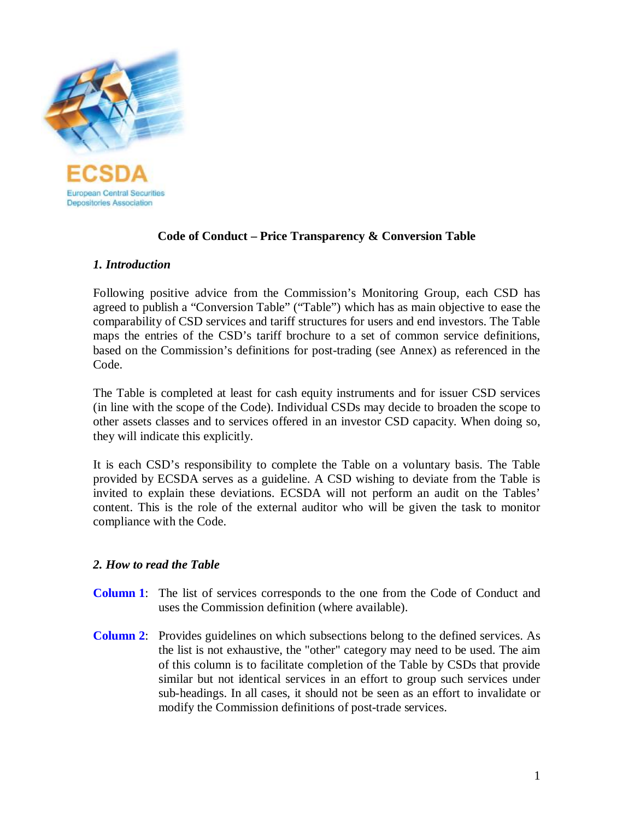

# **Code of Conduct – Price Transparency & Conversion Table**

# *1. Introduction*

Following positive advice from the Commission's Monitoring Group, each CSD has agreed to publish a "Conversion Table" ("Table") which has as main objective to ease the comparability of CSD services and tariff structures for users and end investors. The Table maps the entries of the CSD's tariff brochure to a set of common service definitions, based on the Commission's definitions for post-trading (see Annex) as referenced in the Code.

The Table is completed at least for cash equity instruments and for issuer CSD services (in line with the scope of the Code). Individual CSDs may decide to broaden the scope to other assets classes and to services offered in an investor CSD capacity. When doing so, they will indicate this explicitly.

It is each CSD's responsibility to complete the Table on a voluntary basis. The Table provided by ECSDA serves as a guideline. A CSD wishing to deviate from the Table is invited to explain these deviations. ECSDA will not perform an audit on the Tables' content. This is the role of the external auditor who will be given the task to monitor compliance with the Code.

# *2. How to read the Table*

- **Column 1**: The list of services corresponds to the one from the Code of Conduct and uses the Commission definition (where available).
- **Column 2**: Provides guidelines on which subsections belong to the defined services. As the list is not exhaustive, the "other" category may need to be used. The aim of this column is to facilitate completion of the Table by CSDs that provide similar but not identical services in an effort to group such services under sub-headings. In all cases, it should not be seen as an effort to invalidate or modify the Commission definitions of post-trade services.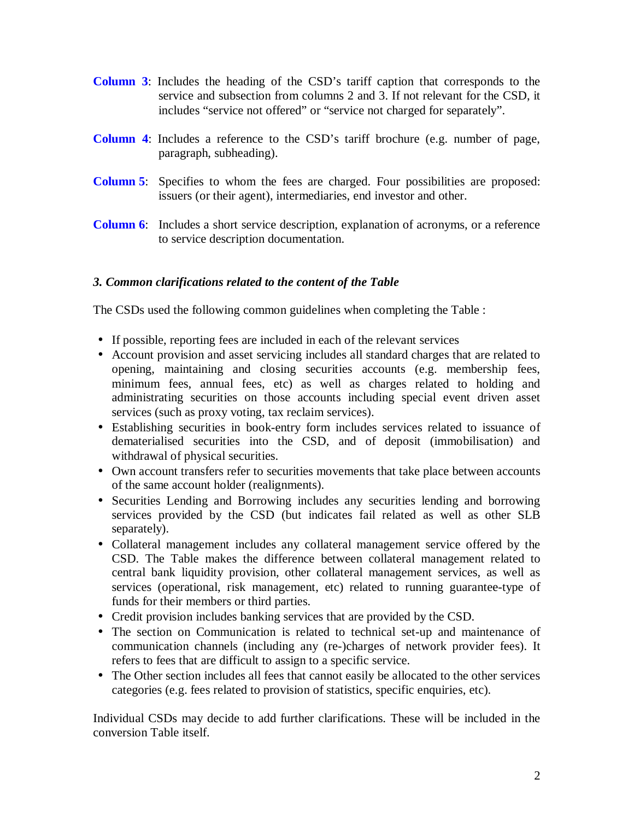- **Column 3**: Includes the heading of the CSD's tariff caption that corresponds to the service and subsection from columns 2 and 3. If not relevant for the CSD, it includes "service not offered" or "service not charged for separately".
- **Column 4**: Includes a reference to the CSD's tariff brochure (e.g. number of page, paragraph, subheading).
- **Column 5**: Specifies to whom the fees are charged. Four possibilities are proposed: issuers (or their agent), intermediaries, end investor and other.
- **Column 6**: Includes a short service description, explanation of acronyms, or a reference to service description documentation.

# *3. Common clarifications related to the content of the Table*

The CSDs used the following common guidelines when completing the Table :

- If possible, reporting fees are included in each of the relevant services
- Account provision and asset servicing includes all standard charges that are related to opening, maintaining and closing securities accounts (e.g. membership fees, minimum fees, annual fees, etc) as well as charges related to holding and administrating securities on those accounts including special event driven asset services (such as proxy voting, tax reclaim services).
- Establishing securities in book-entry form includes services related to issuance of dematerialised securities into the CSD, and of deposit (immobilisation) and withdrawal of physical securities.
- Own account transfers refer to securities movements that take place between accounts of the same account holder (realignments).
- Securities Lending and Borrowing includes any securities lending and borrowing services provided by the CSD (but indicates fail related as well as other SLB separately).
- Collateral management includes any collateral management service offered by the CSD. The Table makes the difference between collateral management related to central bank liquidity provision, other collateral management services, as well as services (operational, risk management, etc) related to running guarantee-type of funds for their members or third parties.
- Credit provision includes banking services that are provided by the CSD.
- The section on Communication is related to technical set-up and maintenance of communication channels (including any (re-)charges of network provider fees). It refers to fees that are difficult to assign to a specific service.
- The Other section includes all fees that cannot easily be allocated to the other services categories (e.g. fees related to provision of statistics, specific enquiries, etc).

Individual CSDs may decide to add further clarifications. These will be included in the conversion Table itself.